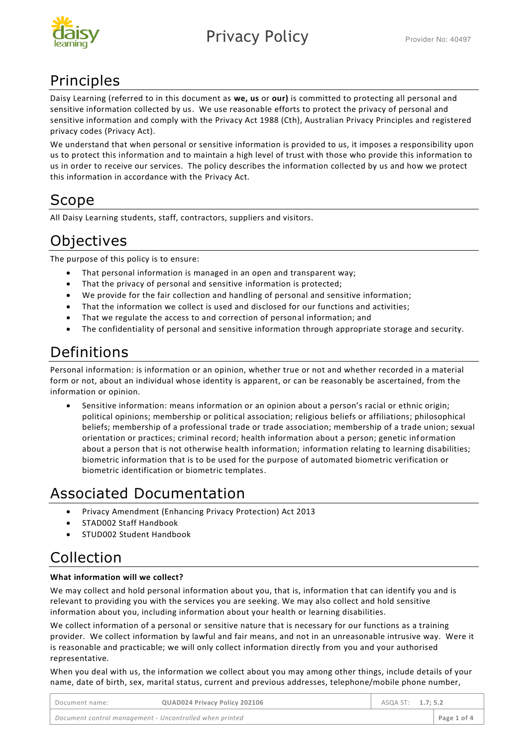

## Principles

Daisy Learning (referred to in this document as **we, us** or **our)** is committed to protecting all personal and sensitive information collected by us. We use reasonable efforts to protect the privacy of personal and sensitive information and comply with the Privacy Act 1988 (Cth), Australian Privacy Principles and registered privacy codes (Privacy Act).

We understand that when personal or sensitive information is provided to us, it imposes a responsibility upon us to protect this information and to maintain a high level of trust with those who provide this information to us in order to receive our services. The policy describes the information collected by us and how we protect this information in accordance with the Privacy Act.

### Scope

All Daisy Learning students, staff, contractors, suppliers and visitors.

## **Objectives**

The purpose of this policy is to ensure:

- That personal information is managed in an open and transparent way;
- That the privacy of personal and sensitive information is protected;
- We provide for the fair collection and handling of personal and sensitive information;
- That the information we collect is used and disclosed for our functions and activities;
- That we regulate the access to and correction of personal information; and
- The confidentiality of personal and sensitive information through appropriate storage and security.

## Definitions

Personal information: is information or an opinion, whether true or not and whether recorded in a material form or not, about an individual whose identity is apparent, or can be reasonably be ascertained, from the information or opinion.

• Sensitive information: means information or an opinion about a person's racial or ethnic origin; political opinions; membership or political association; religious beliefs or affiliations; philosophical beliefs; membership of a professional trade or trade association; membership of a trade union; sexual orientation or practices; criminal record; health information about a person; genetic information about a person that is not otherwise health information; information relating to learning disabilities; biometric information that is to be used for the purpose of automated biometric verification or biometric identification or biometric templates.

# Associated Documentation

- Privacy Amendment (Enhancing Privacy Protection) Act 2013
- STAD002 Staff Handbook
- STUD002 Student Handbook

### Collection

#### **What information will we collect?**

We may collect and hold personal information about you, that is, information that can identify you and is relevant to providing you with the services you are seeking. We may also collect and hold sensitive information about you, including information about your health or learning disabilities.

We collect information of a personal or sensitive nature that is necessary for our functions as a training provider. We collect information by lawful and fair means, and not in an unreasonable intrusive way. Were it is reasonable and practicable; we will only collect information directly from you and your authorised representative.

When you deal with us, the information we collect about you may among other things, include details of your name, date of birth, sex, marital status, current and previous addresses, telephone/mobile phone number,

| Document name:                                          | QUAD024 Privacy Policy 202106 | ASQA ST: 1.7:5.2 |  |             |
|---------------------------------------------------------|-------------------------------|------------------|--|-------------|
| Document control management - Uncontrolled when printed |                               |                  |  | Page 1 of 4 |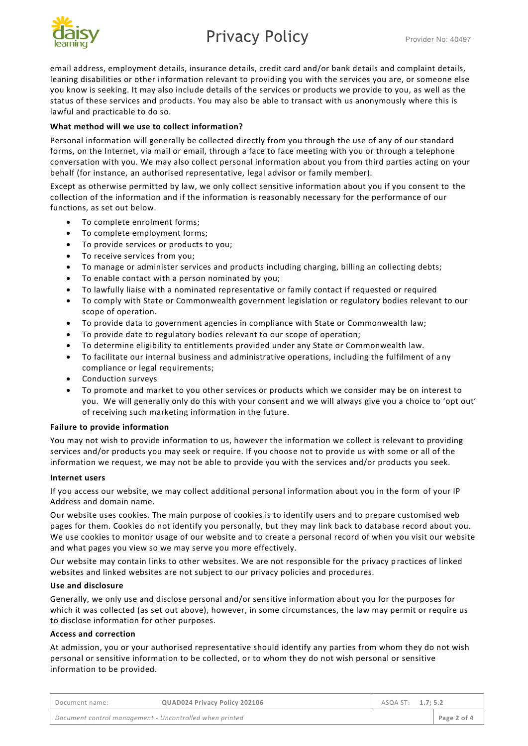# Privacy Policy **Privacy** Provider No: 40497



email address, employment details, insurance details, credit card and/or bank details and complaint details, leaning disabilities or other information relevant to providing you with the services you are, or someone else you know is seeking. It may also include details of the services or products we provide to you, as well as the status of these services and products. You may also be able to transact with us anonymously where this is lawful and practicable to do so.

#### **What method will we use to collect information?**

Personal information will generally be collected directly from you through the use of any of our standard forms, on the Internet, via mail or email, through a face to face meeting with you or through a telephone conversation with you. We may also collect personal information about you from third parties acting on your behalf (for instance, an authorised representative, legal advisor or family member).

Except as otherwise permitted by law, we only collect sensitive information about you if you consent to the collection of the information and if the information is reasonably necessary for the performance of our functions, as set out below.

- To complete enrolment forms;
- To complete employment forms;
- To provide services or products to you;
- To receive services from you;
- To manage or administer services and products including charging, billing an collecting debts;
- To enable contact with a person nominated by you:
- To lawfully liaise with a nominated representative or family contact if requested or required
- To comply with State or Commonwealth government legislation or regulatory bodies relevant to our scope of operation.
- To provide data to government agencies in compliance with State or Commonwealth law;
- To provide date to regulatory bodies relevant to our scope of operation;
- To determine eligibility to entitlements provided under any State or Commonwealth law.
- To facilitate our internal business and administrative operations, including the fulfilment of a ny compliance or legal requirements;
- Conduction surveys
- To promote and market to you other services or products which we consider may be on interest to you. We will generally only do this with your consent and we will always give you a choice to 'opt out' of receiving such marketing information in the future.

#### **Failure to provide information**

You may not wish to provide information to us, however the information we collect is relevant to providing services and/or products you may seek or require. If you choose not to provide us with some or all of the information we request, we may not be able to provide you with the services and/or products you seek.

#### **Internet users**

If you access our website, we may collect additional personal information about you in the form of your IP Address and domain name.

Our website uses cookies. The main purpose of cookies is to identify users and to prepare customised web pages for them. Cookies do not identify you personally, but they may link back to database record about you. We use cookies to monitor usage of our website and to create a personal record of when you visit our website and what pages you view so we may serve you more effectively.

Our website may contain links to other websites. We are not responsible for the privacy p ractices of linked websites and linked websites are not subject to our privacy policies and procedures.

#### **Use and disclosure**

Generally, we only use and disclose personal and/or sensitive information about you for the purposes for which it was collected (as set out above), however, in some circumstances, the law may permit or require us to disclose information for other purposes.

#### **Access and correction**

At admission, you or your authorised representative should identify any parties from whom they do not wish personal or sensitive information to be collected, or to whom they do not wish personal or sensitive information to be provided.

| Document name:                                          | QUAD024 Privacy Policy 202106 | ASQA ST: 1.7; 5.2 |             |
|---------------------------------------------------------|-------------------------------|-------------------|-------------|
| Document control management - Uncontrolled when printed |                               |                   | Page 2 of 4 |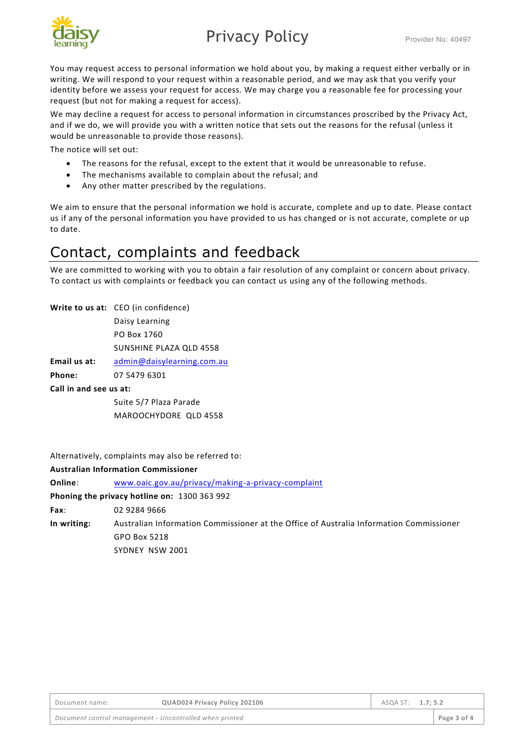

# Privacy Policy **Privacy** Provider No: 40497

You may request access to personal information we hold about you, by making a request either verbally or in writing. We will respond to your request within a reasonable period, and we may ask that you verify your identity before we assess your request for access. We may charge you a reasonable fee for processing your request (but not for making a request for access).

We may decline a request for access to personal information in circumstances proscribed by the Privacy Act, and if we do, we will provide you with a written notice that sets out the reasons for the refusal (unless it would be unreasonable to provide those reasons).

The notice will set out:

- The reasons for the refusal, except to the extent that it would be unreasonable to refuse.
- The mechanisms available to complain about the refusal; and
- Any other matter prescribed by the regulations.

We aim to ensure that the personal information we hold is accurate, complete and up to date. Please contact us if any of the personal information you have provided to us has changed or is not accurate, complete or up to date.

### Contact, complaints and feedback

We are committed to working with you to obtain a fair resolution of any complaint or concern about privacy. To contact us with complaints or feedback you can contact us using any of the following methods.

**Write to us at:** CEO (in confidence) Daisy Learning PO Box 1760 SUNSHINE PLAZA QLD 4558 **Email us at:** [admin@daisylearning.com.au](mailto:admin@daisylearning.com.au) **Phone:** 07 5479 6301 **Call in and see us at:** Suite 5/7 Plaza Parade MAROOCHYDORE QLD 4558

Alternatively, complaints may also be referred to:

#### **Australian Information Commissioner**

**Online**: [www.oaic.gov.au/privacy/making-a-privacy-complaint](http://www.oaic.gov.au/privacy/making-a-privacy-complaint)

**Phoning the privacy hotline on:** 1300 363 992

**Fax**: 02 9284 9666

**In writing:** Australian Information Commissioner at the Office of Australia Information Commissioner GPO Box 5218

SYDNEY NSW 2001

| Document name:                                          | QUAD024 Privacy Policy 202106 | ASQA ST: 1.7; 5.2 |  |             |
|---------------------------------------------------------|-------------------------------|-------------------|--|-------------|
| Document control management - Uncontrolled when printed |                               |                   |  | Page 3 of 4 |